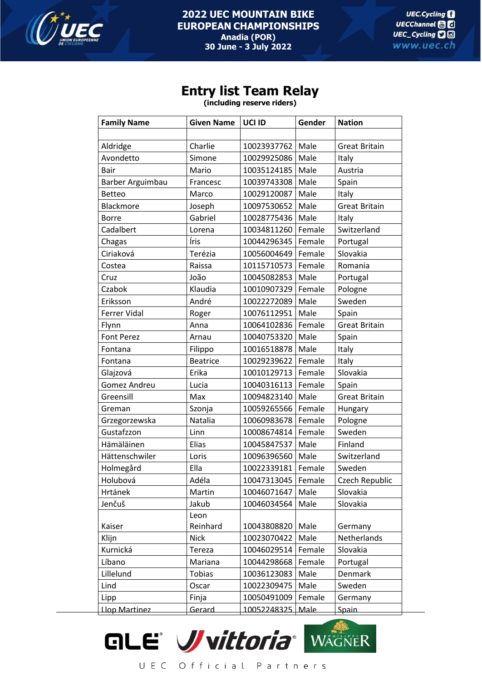

## **Entry list Team Relay**

**(including reserve riders)**

| <b>Family Name</b>  | <b>Given Name</b> | UCI ID      | Gender | <b>Nation</b>        |
|---------------------|-------------------|-------------|--------|----------------------|
|                     |                   |             |        |                      |
| Aldridge            | Charlie           | 10023937762 | Male   | <b>Great Britain</b> |
| Avondetto           | Simone            | 10029925086 | Male   | Italy                |
| Bair                | Mario             | 10035124185 | Male   | Austria              |
| Barber Arguimbau    | Francesc          | 10039743308 | Male   | Spain                |
| Betteo              | Marco             | 10029120087 | Male   | Italy                |
| Blackmore           | Joseph            | 10097530652 | Male   | <b>Great Britain</b> |
| <b>Borre</b>        | Gabriel           | 10028775436 | Male   | Italy                |
| Cadalbert           | Lorena            | 10034811260 | Female | Switzerland          |
| Chagas              | Íris              | 10044296345 | Female | Portugal             |
| Ciriaková           | Terézia           | 10056004649 | Female | Slovakia             |
| Costea              | Raissa            | 10115710573 | Female | Romania              |
| Cruz                | João              | 10045082853 | Male   | Portugal             |
| Czabok              | Klaudia           | 10010907329 | Female | Pologne              |
| Eriksson            | André             | 10022272089 | Male   | Sweden               |
| <b>Ferrer Vidal</b> | Roger             | 10076112951 | Male   | Spain                |
| Flynn               | Anna              | 10064102836 | Female | <b>Great Britain</b> |
| <b>Font Perez</b>   | Arnau             | 10040753320 | Male   | Spain                |
| Fontana             | Filippo           | 10016518878 | Male   | Italy                |
| Fontana             | <b>Beatrice</b>   | 10029239622 | Female | Italy                |
| Glajzová            | Erika             | 10010129713 | Female | Slovakia             |
| Gomez Andreu        | Lucia             | 10040316113 | Female | Spain                |
| Greensill           | Max               | 10094823140 | Male   | <b>Great Britain</b> |
| Greman              | Szonja            | 10059265566 | Female | Hungary              |
| Grzegorzewska       | Natalia           | 10060983678 | Female | Pologne              |
| Gustafzzon          | Linn              | 10008674814 | Female | Sweden               |
| Hämäläinen          | Elias             | 10045847537 | Male   | Finland              |
| Hättenschwiler      | Loris             | 10096396560 | Male   | Switzerland          |
| Holmegård           | Ella              | 10022339181 | Female | Sweden               |
| Holubová            | Adéla             | 10047313045 | Female | Czech Republic       |
| Hrtánek             | Martin            | 10046071647 | Male   | Slovakia             |
| Jenčuš              | Jakub             | 10046034564 | Male   | Slovakia             |
|                     | Leon              |             |        |                      |
| Kaiser              | Reinhard          | 10043808820 | Male   | Germany              |
| Klijn               | <b>Nick</b>       | 10023070422 | Male   | Netherlands          |
| Kurnická            | Tereza            | 10046029514 | Female | Slovakia             |
| Líbano              | Mariana           | 10044298668 | Female | Portugal             |
| Lillelund           | Tobias            | 10036123083 | Male   | Denmark              |
| Lind                | Oscar             | 10022309475 | Male   | Sweden               |
| Lipp                | Finja             | 10050491009 | Female | Germany              |
| Llop Martinez       | Gerard            | 10052248325 | Male   | Spain                |